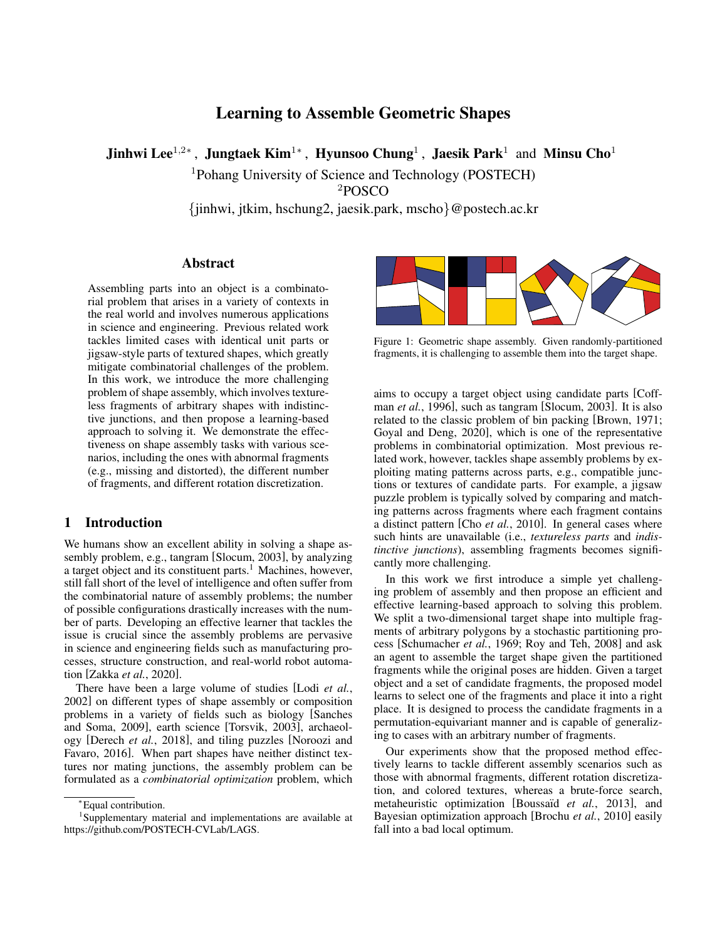# Learning to Assemble Geometric Shapes

Jinhwi Lee $^{1,2*}$  , Jungtaek Kim $^{1*}$  , Hyunsoo Chung $^1$  , Jaesik Park $^1$  and Minsu Cho $^1$ 

<sup>1</sup>Pohang University of Science and Technology (POSTECH)

<sup>2</sup>POSCO

{jinhwi, jtkim, hschung2, jaesik.park, mscho}@postech.ac.kr

### Abstract

Assembling parts into an object is a combinatorial problem that arises in a variety of contexts in the real world and involves numerous applications in science and engineering. Previous related work tackles limited cases with identical unit parts or jigsaw-style parts of textured shapes, which greatly mitigate combinatorial challenges of the problem. In this work, we introduce the more challenging problem of shape assembly, which involves textureless fragments of arbitrary shapes with indistinctive junctions, and then propose a learning-based approach to solving it. We demonstrate the effectiveness on shape assembly tasks with various scenarios, including the ones with abnormal fragments (e.g., missing and distorted), the different number of fragments, and different rotation discretization.

# 1 Introduction

We humans show an excellent ability in solving a shape assembly problem, e.g., tangram [\[Slocum, 2003\]](#page-6-0), by analyzing a target object and its constituent parts.<sup>[1](#page-0-0)</sup> Machines, however, still fall short of the level of intelligence and often suffer from the combinatorial nature of assembly problems; the number of possible configurations drastically increases with the number of parts. Developing an effective learner that tackles the issue is crucial since the assembly problems are pervasive in science and engineering fields such as manufacturing processes, structure construction, and real-world robot automation [Zakka *et al.*[, 2020\]](#page-6-1).

There have been a large volume of studies [Lodi *[et al.](#page-6-2)*, [2002\]](#page-6-2) on different types of shape assembly or composition problems in a variety of fields such as biology [\[Sanches](#page-6-3) [and Soma, 2009\]](#page-6-3), earth science [\[Torsvik, 2003\]](#page-6-4), archaeology [\[Derech](#page-6-5) *et al.*, 2018], and tiling puzzles [\[Noroozi and](#page-6-6) [Favaro, 2016\]](#page-6-6). When part shapes have neither distinct textures nor mating junctions, the assembly problem can be formulated as a *combinatorial optimization* problem, which

<span id="page-0-1"></span>

Figure 1: Geometric shape assembly. Given randomly-partitioned fragments, it is challenging to assemble them into the target shape.

aims to occupy a target object using candidate parts [\[Coff](#page-6-7)man *et al.*[, 1996\]](#page-6-7), such as tangram [\[Slocum, 2003\]](#page-6-0). It is also related to the classic problem of bin packing [\[Brown, 1971;](#page-6-8) [Goyal and Deng, 2020\]](#page-6-9), which is one of the representative problems in combinatorial optimization. Most previous related work, however, tackles shape assembly problems by exploiting mating patterns across parts, e.g., compatible junctions or textures of candidate parts. For example, a jigsaw puzzle problem is typically solved by comparing and matching patterns across fragments where each fragment contains a distinct pattern [Cho *et al.*[, 2010\]](#page-6-10). In general cases where such hints are unavailable (i.e., *textureless parts* and *indistinctive junctions*), assembling fragments becomes significantly more challenging.

In this work we first introduce a simple yet challenging problem of assembly and then propose an efficient and effective learning-based approach to solving this problem. We split a two-dimensional target shape into multiple fragments of arbitrary polygons by a stochastic partitioning process [\[Schumacher](#page-6-11) *et al.*, 1969; [Roy and Teh, 2008\]](#page-6-12) and ask an agent to assemble the target shape given the partitioned fragments while the original poses are hidden. Given a target object and a set of candidate fragments, the proposed model learns to select one of the fragments and place it into a right place. It is designed to process the candidate fragments in a permutation-equivariant manner and is capable of generalizing to cases with an arbitrary number of fragments.

Our experiments show that the proposed method effectively learns to tackle different assembly scenarios such as those with abnormal fragments, different rotation discretization, and colored textures, whereas a brute-force search, metaheuristic optimization [Boussaïd et al., 2013], and Bayesian optimization approach [\[Brochu](#page-6-14) *et al.*, 2010] easily fall into a bad local optimum.

<span id="page-0-0"></span><sup>∗</sup>Equal contribution.

<sup>1</sup> Supplementary material and implementations are available at [https://github.com/POSTECH-CVLab/LAGS.](https://github.com/POSTECH-CVLab/LAGS)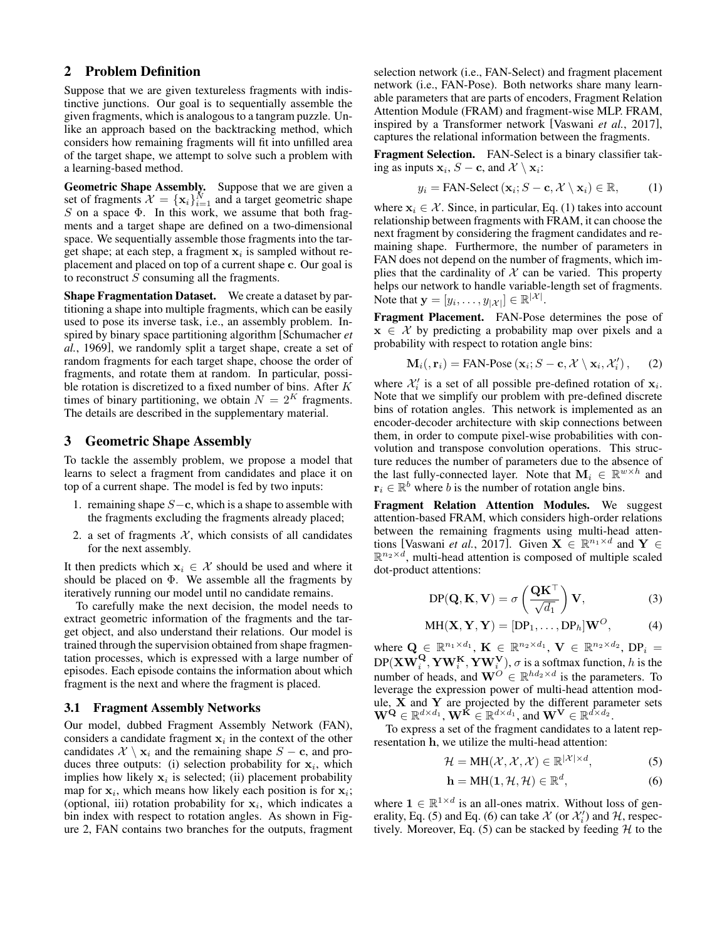# 2 Problem Definition

Suppose that we are given textureless fragments with indistinctive junctions. Our goal is to sequentially assemble the given fragments, which is analogous to a tangram puzzle. Unlike an approach based on the backtracking method, which considers how remaining fragments will fit into unfilled area of the target shape, we attempt to solve such a problem with a learning-based method.

Geometric Shape Assembly. Suppose that we are given a set of fragments  $\mathcal{X} = {\mathbf{x}_i}_{i=1}^N$  and a target geometric shape S on a space  $\Phi$ . In this work, we assume that both fragments and a target shape are defined on a two-dimensional space. We sequentially assemble those fragments into the target shape; at each step, a fragment  $x_i$  is sampled without replacement and placed on top of a current shape c. Our goal is to reconstruct  $S$  consuming all the fragments.

Shape Fragmentation Dataset. We create a dataset by partitioning a shape into multiple fragments, which can be easily used to pose its inverse task, i.e., an assembly problem. Inspired by binary space partitioning algorithm [\[Schumacher](#page-6-11) *et al.*[, 1969\]](#page-6-11), we randomly split a target shape, create a set of random fragments for each target shape, choose the order of fragments, and rotate them at random. In particular, possible rotation is discretized to a fixed number of bins. After K times of binary partitioning, we obtain  $N = 2<sup>K</sup>$  fragments. The details are described in the supplementary material.

#### 3 Geometric Shape Assembly

To tackle the assembly problem, we propose a model that learns to select a fragment from candidates and place it on top of a current shape. The model is fed by two inputs:

- 1. remaining shape  $S-\mathbf{c}$ , which is a shape to assemble with the fragments excluding the fragments already placed;
- 2. a set of fragments  $X$ , which consists of all candidates for the next assembly.

It then predicts which  $x_i \in \mathcal{X}$  should be used and where it should be placed on  $\Phi$ . We assemble all the fragments by iteratively running our model until no candidate remains.

To carefully make the next decision, the model needs to extract geometric information of the fragments and the target object, and also understand their relations. Our model is trained through the supervision obtained from shape fragmentation processes, which is expressed with a large number of episodes. Each episode contains the information about which fragment is the next and where the fragment is placed.

#### 3.1 Fragment Assembly Networks

Our model, dubbed Fragment Assembly Network (FAN), considers a candidate fragment  $x_i$  in the context of the other candidates  $X \setminus \mathbf{x}_i$  and the remaining shape  $S - \mathbf{c}$ , and produces three outputs: (i) selection probability for  $x_i$ , which implies how likely  $x_i$  is selected; (ii) placement probability map for  $x_i$ , which means how likely each position is for  $x_i$ ; (optional, iii) rotation probability for  $x_i$ , which indicates a bin index with respect to rotation angles. As shown in Figure [2,](#page-2-0) FAN contains two branches for the outputs, fragment selection network (i.e., FAN-Select) and fragment placement network (i.e., FAN-Pose). Both networks share many learnable parameters that are parts of encoders, Fragment Relation Attention Module (FRAM) and fragment-wise MLP. FRAM, inspired by a Transformer network [\[Vaswani](#page-6-15) *et al.*, 2017], captures the relational information between the fragments.

Fragment Selection. FAN-Select is a binary classifier taking as inputs  $\mathbf{x}_i$ ,  $S - \mathbf{c}$ , and  $\mathcal{X} \setminus \mathbf{x}_i$ :

<span id="page-1-0"></span>
$$
y_i = \text{FAN-Select}(\mathbf{x}_i; S - \mathbf{c}, \mathcal{X} \setminus \mathbf{x}_i) \in \mathbb{R},\tag{1}
$$

where  $x_i \in \mathcal{X}$ . Since, in particular, Eq. [\(1\)](#page-1-0) takes into account relationship between fragments with FRAM, it can choose the next fragment by considering the fragment candidates and remaining shape. Furthermore, the number of parameters in FAN does not depend on the number of fragments, which implies that the cardinality of  $X$  can be varied. This property helps our network to handle variable-length set of fragments. Note that  $\mathbf{y} = [y_i, \dots, y_{|\mathcal{X}|}] \in \mathbb{R}^{|\mathcal{X}|}$ .

Fragment Placement. FAN-Pose determines the pose of  $x \in \mathcal{X}$  by predicting a probability map over pixels and a probability with respect to rotation angle bins:

<span id="page-1-3"></span>
$$
\mathbf{M}_{i}(\mathbf{r}_{i})=\text{FAN-Pose}\left(\mathbf{x}_{i};S-\mathbf{c},\mathcal{X}\setminus\mathbf{x}_{i},\mathcal{X}'_{i}\right),\qquad(2)
$$

where  $\mathcal{X}'_i$  is a set of all possible pre-defined rotation of  $\mathbf{x}_i$ . Note that we simplify our problem with pre-defined discrete bins of rotation angles. This network is implemented as an encoder-decoder architecture with skip connections between them, in order to compute pixel-wise probabilities with convolution and transpose convolution operations. This structure reduces the number of parameters due to the absence of the last fully-connected layer. Note that  $\mathbf{M}_i \in \mathbb{R}^{w \times h}$  and  $\mathbf{r}_i \in \mathbb{R}^b$  where b is the number of rotation angle bins.

Fragment Relation Attention Modules. We suggest attention-based FRAM, which considers high-order relations between the remaining fragments using multi-head atten-tions [\[Vaswani](#page-6-15) *et al.*, 2017]. Given  $X \in \mathbb{R}^{n_1 \times d}$  and  $Y \in$  $\mathbb{R}^{n_2 \times d}$ , multi-head attention is composed of multiple scaled dot-product attentions:

$$
DP(\mathbf{Q}, \mathbf{K}, \mathbf{V}) = \sigma \left( \frac{\mathbf{Q} \mathbf{K}^{\top}}{\sqrt{d_1}} \right) \mathbf{V},
$$
 (3)

$$
MH(X, Y, Y) = [DP1, ..., DPh]WO,
$$
 (4)

where  $\mathbf{Q} \in \mathbb{R}^{n_1 \times d_1}$ ,  $\mathbf{K} \in \mathbb{R}^{n_2 \times d_1}$ ,  $\mathbf{V} \in \mathbb{R}^{n_2 \times d_2}$ ,  $\text{DP}_i =$  $\text{DP}(\mathbf{X}\mathbf{W}_i^\mathbf{Q}, \mathbf{YW}_i^\mathbf{K}, \mathbf{YW}_i^\mathbf{V}), \sigma$  is a softmax function,  $h$  is the number of heads, and  $\mathbf{W}^{\overrightarrow{O}} \in \mathbb{R}^{hd_2 \times d}$  is the parameters. To leverage the expression power of multi-head attention module,  $\overline{X}$  and  $\overline{Y}$  are projected by the different parameter sets  $\mathbf{W^Q} \in \mathbb{R}^{d \times d_1}$ ,  $\mathbf{W^K} \in \mathbb{R}^{d \times d_1}$ , and  $\mathbf{W^V} \in \mathbb{R}^{d \times d_2}$ .

To express a set of the fragment candidates to a latent representation h, we utilize the multi-head attention:

$$
\mathcal{H} = \text{MH}(\mathcal{X}, \mathcal{X}, \mathcal{X}) \in \mathbb{R}^{|\mathcal{X}| \times d},\tag{5}
$$

<span id="page-1-2"></span><span id="page-1-1"></span>
$$
\mathbf{h} = \mathrm{MH}(\mathbf{1}, \mathcal{H}, \mathcal{H}) \in \mathbb{R}^d, \tag{6}
$$

where  $\mathbf{1} \in \mathbb{R}^{1 \times d}$  is an all-ones matrix. Without loss of gen-erality, Eq. [\(5\)](#page-1-1) and Eq. [\(6\)](#page-1-2) can take  $\mathcal X$  (or  $\mathcal X_i'$ ) and  $\mathcal H$ , respec-tively. Moreover, Eq. [\(5\)](#page-1-1) can be stacked by feeding  $H$  to the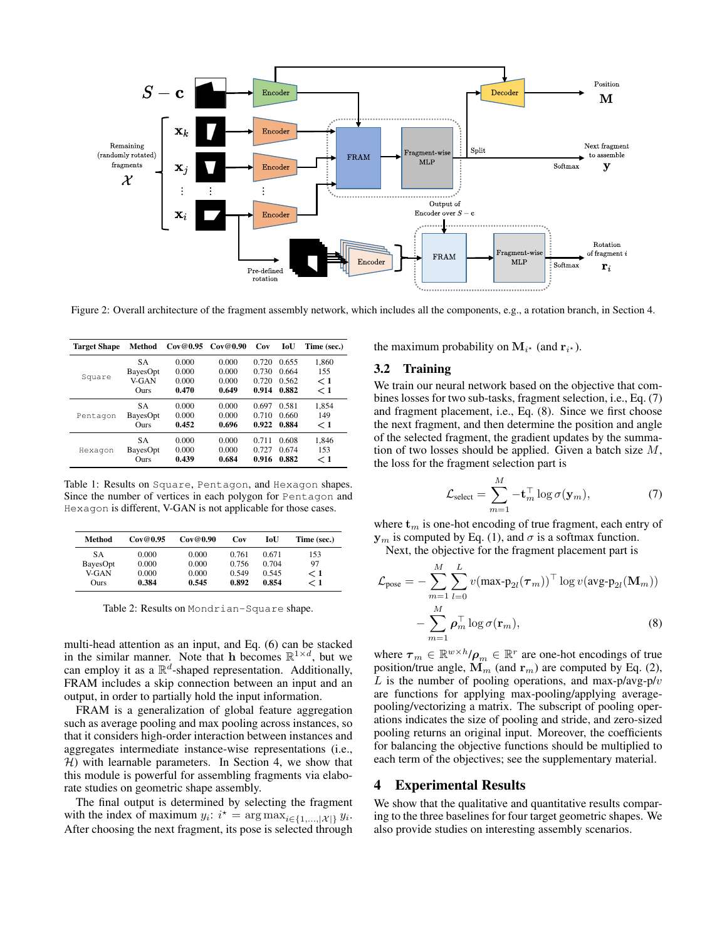<span id="page-2-0"></span>

Figure 2: Overall architecture of the fragment assembly network, which includes all the components, e.g., a rotation branch, in Section [4.](#page-2-1)

<span id="page-2-4"></span>

| <b>Target Shape</b> | Method    | Cov@0.95 | Cov@0.90 | Cov   | IoU   | Time (sec.) |
|---------------------|-----------|----------|----------|-------|-------|-------------|
|                     | <b>SA</b> | 0.000    | 0.000    | 0.720 | 0.655 | 1.860       |
|                     | BayesOpt  | 0.000    | 0.000    | 0.730 | 0.664 | 155         |
| Square              | V-GAN     | 0.000    | 0.000    | 0.720 | 0.562 | $\rm{<}$ 1  |
|                     | Ours      | 0.470    | 0.649    | 0.914 | 0.882 | $\rm{<}$ 1  |
|                     | <b>SA</b> | 0.000    | 0.000    | 0.697 | 0.581 | 1,854       |
| Pentagon            | BayesOpt  | 0.000    | 0.000    | 0.710 | 0.660 | 149         |
|                     | Ours      | 0.452    | 0.696    | 0.922 | 0.884 | < 1         |
| Hexagon             | <b>SA</b> | 0.000    | 0.000    | 0.711 | 0.608 | 1.846       |
|                     | BayesOpt  | 0.000    | 0.000    | 0.727 | 0.674 | 153         |
|                     | Ours      | 0.439    | 0.684    | 0.916 | 0.882 | < 1         |

Table 1: Results on Square, Pentagon, and Hexagon shapes. Since the number of vertices in each polygon for Pentagon and Hexagon is different, V-GAN is not applicable for those cases.

<span id="page-2-5"></span>

| Method   | Cov@0.95 | Cov@0.90 | Cov   | IoU   | Time (sec.) |
|----------|----------|----------|-------|-------|-------------|
| SА       | 0.000    | 0.000    | 0.761 | 0.671 | 153         |
| BayesOpt | 0.000    | 0.000    | 0.756 | 0.704 | 97          |
| V-GAN    | 0.000    | 0.000    | 0.549 | 0.545 | < 1         |
| Ours     | 0.384    | 0.545    | 0.892 | 0.854 | ← 1         |

Table 2: Results on Mondrian-Square shape.

multi-head attention as an input, and Eq. [\(6\)](#page-1-2) can be stacked in the similar manner. Note that h becomes  $\mathbb{R}^{1 \times d}$ , but we can employ it as a  $\mathbb{R}^d$ -shaped representation. Additionally, FRAM includes a skip connection between an input and an output, in order to partially hold the input information.

FRAM is a generalization of global feature aggregation such as average pooling and max pooling across instances, so that it considers high-order interaction between instances and aggregates intermediate instance-wise representations (i.e.,  $H$ ) with learnable parameters. In Section [4,](#page-2-1) we show that this module is powerful for assembling fragments via elaborate studies on geometric shape assembly.

The final output is determined by selecting the fragment with the index of maximum  $y_i$ :  $i^* = \arg \max_{i \in \{1, ..., |\mathcal{X}|\}} y_i$ . After choosing the next fragment, its pose is selected through the maximum probability on  $M_{i^*}$  (and  $r_{i^*}$ ).

#### 3.2 Training

We train our neural network based on the objective that combines losses for two sub-tasks, fragment selection, i.e., Eq. [\(7\)](#page-2-2) and fragment placement, i.e., Eq. [\(8\)](#page-2-3). Since we first choose the next fragment, and then determine the position and angle of the selected fragment, the gradient updates by the summation of two losses should be applied. Given a batch size  $M$ , the loss for the fragment selection part is

<span id="page-2-3"></span><span id="page-2-2"></span>
$$
\mathcal{L}_{\text{select}} = \sum_{m=1}^{M} -\mathbf{t}_m^{\top} \log \sigma(\mathbf{y}_m),\tag{7}
$$

where  $t_m$  is one-hot encoding of true fragment, each entry of  $y_m$  is computed by Eq. [\(1\)](#page-1-0), and  $\sigma$  is a softmax function.

Next, the objective for the fragment placement part is

$$
\mathcal{L}_{\text{pose}} = -\sum_{m=1}^{M} \sum_{l=0}^{L} v(\max \mathbf{p}_{2l}(\boldsymbol{\tau}_m))^{\top} \log v(\text{avg-} \mathbf{p}_{2l}(\mathbf{M}_m)) - \sum_{m=1}^{M} \boldsymbol{\rho}_m^{\top} \log \sigma(\mathbf{r}_m),
$$
\n(8)

where  $\boldsymbol{\tau}_m \in \mathbb{R}^{w \times h} / \boldsymbol{\rho}_m \in \mathbb{R}^r$  are one-hot encodings of true position/true angle,  $\mathbf{M}_m$  (and  $\mathbf{r}_m$ ) are computed by Eq. [\(2\)](#page-1-3), L is the number of pooling operations, and max-p/avg-p/ $v$ are functions for applying max-pooling/applying averagepooling/vectorizing a matrix. The subscript of pooling operations indicates the size of pooling and stride, and zero-sized pooling returns an original input. Moreover, the coefficients for balancing the objective functions should be multiplied to each term of the objectives; see the supplementary material.

## <span id="page-2-1"></span>4 Experimental Results

We show that the qualitative and quantitative results comparing to the three baselines for four target geometric shapes. We also provide studies on interesting assembly scenarios.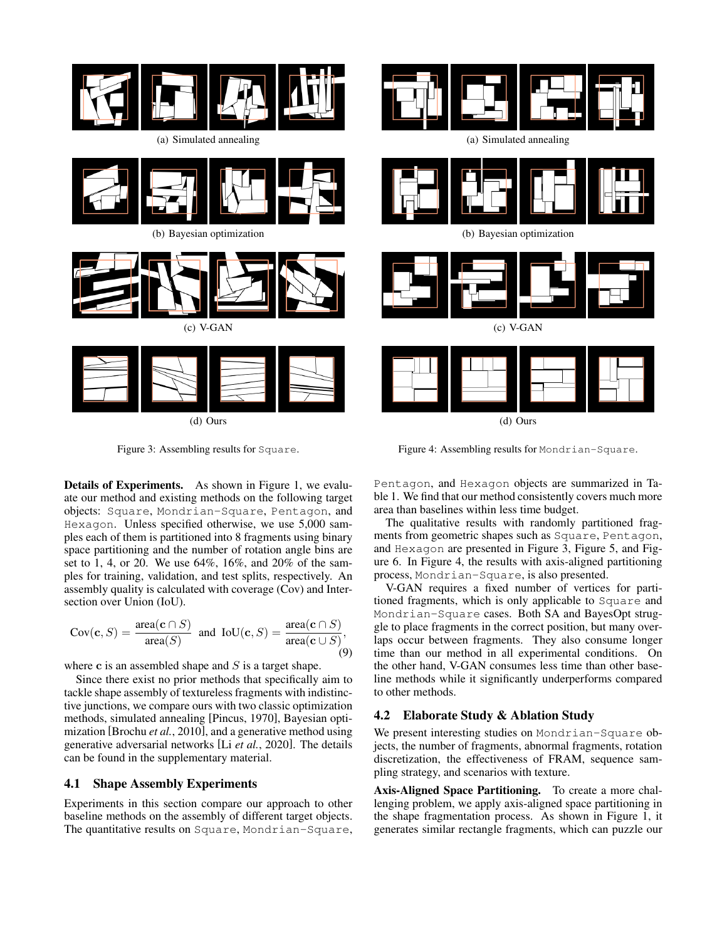<span id="page-3-0"></span>

<span id="page-3-1"></span>

(a) Simulated annealing

(b) Bayesian optimization



(c) V-GAN

(d) Ours

Figure 3: Assembling results for Square.

Details of Experiments. As shown in Figure [1,](#page-0-1) we evaluate our method and existing methods on the following target objects: Square, Mondrian-Square, Pentagon, and Hexagon. Unless specified otherwise, we use 5,000 samples each of them is partitioned into 8 fragments using binary space partitioning and the number of rotation angle bins are set to 1, 4, or 20. We use 64%, 16%, and 20% of the samples for training, validation, and test splits, respectively. An assembly quality is calculated with coverage (Cov) and Intersection over Union (IoU).

$$
Cov(c, S) = \frac{\text{area}(c \cap S)}{\text{area}(S)} \text{ and } IoU(c, S) = \frac{\text{area}(c \cap S)}{\text{area}(c \cup S)},
$$
\n(9)

where  $\bf c$  is an assembled shape and  $S$  is a target shape.

Since there exist no prior methods that specifically aim to tackle shape assembly of textureless fragments with indistinctive junctions, we compare ours with two classic optimization methods, simulated annealing [\[Pincus, 1970\]](#page-6-16), Bayesian optimization [\[Brochu](#page-6-14) *et al.*, 2010], and a generative method using generative adversarial networks [Li *et al.*[, 2020\]](#page-6-17). The details can be found in the supplementary material.

## 4.1 Shape Assembly Experiments

Experiments in this section compare our approach to other baseline methods on the assembly of different target objects. The quantitative results on Square, Mondrian-Square,

Pentagon, and Hexagon objects are summarized in Table [1.](#page-2-4) We find that our method consistently covers much more area than baselines within less time budget.

Figure 4: Assembling results for Mondrian-Square.

The qualitative results with randomly partitioned fragments from geometric shapes such as Square, Pentagon, and Hexagon are presented in Figure [3,](#page-3-0) Figure [5,](#page-4-0) and Figure [6.](#page-4-1) In Figure [4,](#page-3-1) the results with axis-aligned partitioning process, Mondrian-Square, is also presented.

V-GAN requires a fixed number of vertices for partitioned fragments, which is only applicable to Square and Mondrian-Square cases. Both SA and BayesOpt struggle to place fragments in the correct position, but many overlaps occur between fragments. They also consume longer time than our method in all experimental conditions. On the other hand, V-GAN consumes less time than other baseline methods while it significantly underperforms compared to other methods.

# 4.2 Elaborate Study & Ablation Study

We present interesting studies on Mondrian-Square objects, the number of fragments, abnormal fragments, rotation discretization, the effectiveness of FRAM, sequence sampling strategy, and scenarios with texture.

Axis-Aligned Space Partitioning. To create a more challenging problem, we apply axis-aligned space partitioning in the shape fragmentation process. As shown in Figure [1,](#page-0-1) it generates similar rectangle fragments, which can puzzle our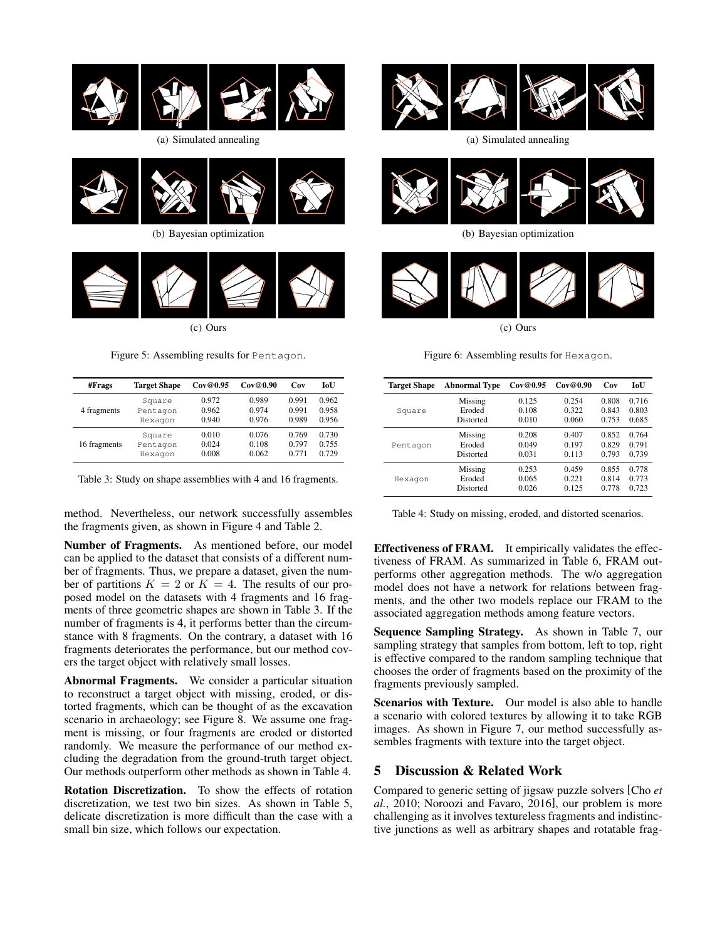<span id="page-4-0"></span>

(a) Simulated annealing



(b) Bayesian optimization



(c) Ours

Figure 5: Assembling results for Pentagon.

<span id="page-4-2"></span>

| #Frags       | <b>Target Shape</b> | Cov@0.95 | Cov@0.90 | Cov   | <b>IoU</b> |
|--------------|---------------------|----------|----------|-------|------------|
| 4 fragments  | Square              | 0.972    | 0.989    | 0.991 | 0.962      |
|              | Pentagon            | 0.962    | 0.974    | 0.991 | 0.958      |
|              | Hexagon             | 0.940    | 0.976    | 0.989 | 0.956      |
| 16 fragments | Square              | 0.010    | 0.076    | 0.769 | 0.730      |
|              | Pentagon            | 0.024    | 0.108    | 0.797 | 0.755      |
|              | Hexagon             | 0.008    | 0.062    | 0.771 | 0.729      |

Table 3: Study on shape assemblies with 4 and 16 fragments.

method. Nevertheless, our network successfully assembles the fragments given, as shown in Figure [4](#page-3-1) and Table [2.](#page-2-5)

Number of Fragments. As mentioned before, our model can be applied to the dataset that consists of a different number of fragments. Thus, we prepare a dataset, given the number of partitions  $K = 2$  or  $K = 4$ . The results of our proposed model on the datasets with 4 fragments and 16 fragments of three geometric shapes are shown in Table [3.](#page-4-2) If the number of fragments is 4, it performs better than the circumstance with 8 fragments. On the contrary, a dataset with 16 fragments deteriorates the performance, but our method covers the target object with relatively small losses.

Abnormal Fragments. We consider a particular situation to reconstruct a target object with missing, eroded, or distorted fragments, which can be thought of as the excavation scenario in archaeology; see Figure [8.](#page-5-0) We assume one fragment is missing, or four fragments are eroded or distorted randomly. We measure the performance of our method excluding the degradation from the ground-truth target object. Our methods outperform other methods as shown in Table [4.](#page-4-3)

Rotation Discretization. To show the effects of rotation discretization, we test two bin sizes. As shown in Table [5,](#page-5-1) delicate discretization is more difficult than the case with a small bin size, which follows our expectation.

<span id="page-4-1"></span>

(a) Simulated annealing



(b) Bayesian optimization



Figure 6: Assembling results for Hexagon.

<span id="page-4-3"></span>

| <b>Target Shape</b> | <b>Abnormal Type</b> | Cov@0.95 | Cov@0.90 | Cov   | <b>IoU</b> |
|---------------------|----------------------|----------|----------|-------|------------|
| Square              | Missing              | 0.125    | 0.254    | 0.808 | 0.716      |
|                     | Eroded               | 0.108    | 0.322    | 0.843 | 0.803      |
|                     | Distorted            | 0.010    | 0.060    | 0.753 | 0.685      |
| Pentagon            | Missing              | 0.208    | 0.407    | 0.852 | 0.764      |
|                     | Eroded               | 0.049    | 0.197    | 0.829 | 0.791      |
|                     | Distorted            | 0.031    | 0.113    | 0.793 | 0.739      |
| Hexagon             | Missing              | 0.253    | 0.459    | 0.855 | 0.778      |
|                     | Eroded               | 0.065    | 0.221    | 0.814 | 0.773      |
|                     | Distorted            | 0.026    | 0.125    | 0.778 | 0.723      |

Table 4: Study on missing, eroded, and distorted scenarios.

Effectiveness of FRAM. It empirically validates the effectiveness of FRAM. As summarized in Table [6,](#page-5-2) FRAM outperforms other aggregation methods. The w/o aggregation model does not have a network for relations between fragments, and the other two models replace our FRAM to the associated aggregation methods among feature vectors.

Sequence Sampling Strategy. As shown in Table [7,](#page-5-3) our sampling strategy that samples from bottom, left to top, right is effective compared to the random sampling technique that chooses the order of fragments based on the proximity of the fragments previously sampled.

Scenarios with Texture. Our model is also able to handle a scenario with colored textures by allowing it to take RGB images. As shown in Figure [7,](#page-5-4) our method successfully assembles fragments with texture into the target object.

## 5 Discussion & Related Work

Compared to generic setting of jigsaw puzzle solvers [\[Cho](#page-6-10) *et al.*[, 2010;](#page-6-10) [Noroozi and Favaro, 2016\]](#page-6-6), our problem is more challenging as it involves textureless fragments and indistinctive junctions as well as arbitrary shapes and rotatable frag-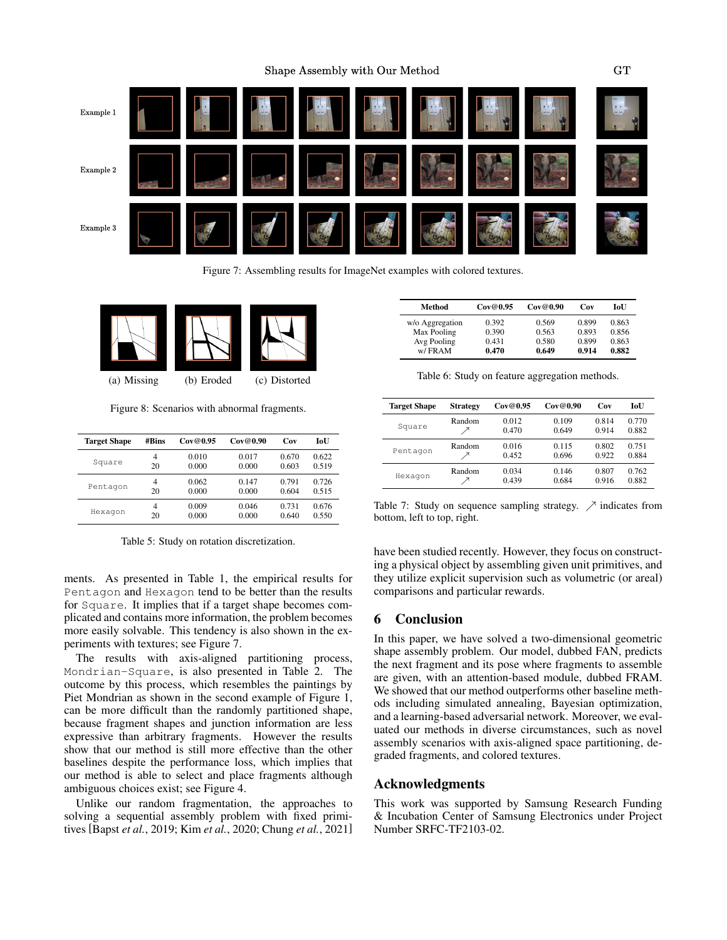<span id="page-5-4"></span>

Figure 7: Assembling results for ImageNet examples with colored textures.

<span id="page-5-0"></span>

Figure 8: Scenarios with abnormal fragments.

<span id="page-5-1"></span>

| <b>Target Shape</b> | #Bins | Cov@0.95 | Cov@0.90 | Cov   | IoU   |
|---------------------|-------|----------|----------|-------|-------|
| Square              | 4     | 0.010    | 0.017    | 0.670 | 0.622 |
|                     | 20    | 0.000    | 0.000    | 0.603 | 0.519 |
| Pentagon            | 4     | 0.062    | 0.147    | 0.791 | 0.726 |
|                     | 20    | 0.000    | 0.000    | 0.604 | 0.515 |
| Hexagon             | 4     | 0.009    | 0.046    | 0.731 | 0.676 |
|                     | 20    | 0.000    | 0.000    | 0.640 | 0.550 |

Table 5: Study on rotation discretization.

ments. As presented in Table [1,](#page-2-4) the empirical results for Pentagon and Hexagon tend to be better than the results for Square. It implies that if a target shape becomes complicated and contains more information, the problem becomes more easily solvable. This tendency is also shown in the experiments with textures; see Figure [7.](#page-5-4)

The results with axis-aligned partitioning process, Mondrian-Square, is also presented in Table [2.](#page-2-5) The outcome by this process, which resembles the paintings by Piet Mondrian as shown in the second example of Figure [1,](#page-0-1) can be more difficult than the randomly partitioned shape, because fragment shapes and junction information are less expressive than arbitrary fragments. However the results show that our method is still more effective than the other baselines despite the performance loss, which implies that our method is able to select and place fragments although ambiguous choices exist; see Figure [4.](#page-3-1)

Unlike our random fragmentation, the approaches to solving a sequential assembly problem with fixed primitives [Bapst *et al.*[, 2019;](#page-6-18) Kim *et al.*[, 2020;](#page-6-19) Chung *et al.*[, 2021\]](#page-6-20)

<span id="page-5-2"></span>

| Method          | Cov@0.95 | Cov@0.90 | Cov   | IoU   |
|-----------------|----------|----------|-------|-------|
| w/o Aggregation | 0.392    | 0.569    | 0.899 | 0.863 |
| Max Pooling     | 0.390    | 0.563    | 0.893 | 0.856 |
| Avg Pooling     | 0.431    | 0.580    | 0.899 | 0.863 |
| w/FRAM          | 0.470    | 0.649    | 0.914 | 0.882 |

Table 6: Study on feature aggregation methods.

<span id="page-5-3"></span>

| <b>Target Shape</b> | <b>Strategy</b> | Cov@0.95       | Cov@0.90       | Cov            | <b>IoU</b>     |
|---------------------|-----------------|----------------|----------------|----------------|----------------|
| Square              | Random          | 0.012<br>0.470 | 0.109<br>0.649 | 0.814<br>0.914 | 0.770<br>0.882 |
| Pentagon            | Random          | 0.016<br>0.452 | 0.115<br>0.696 | 0.802<br>0.922 | 0.751<br>0.884 |
| Hexagon             | Random          | 0.034<br>0.439 | 0.146<br>0.684 | 0.807<br>0.916 | 0.762<br>0.882 |

Table 7: Study on sequence sampling strategy.  $\nearrow$  indicates from bottom, left to top, right.

have been studied recently. However, they focus on constructing a physical object by assembling given unit primitives, and they utilize explicit supervision such as volumetric (or areal) comparisons and particular rewards.

# 6 Conclusion

In this paper, we have solved a two-dimensional geometric shape assembly problem. Our model, dubbed FAN, predicts the next fragment and its pose where fragments to assemble are given, with an attention-based module, dubbed FRAM. We showed that our method outperforms other baseline methods including simulated annealing, Bayesian optimization, and a learning-based adversarial network. Moreover, we evaluated our methods in diverse circumstances, such as novel assembly scenarios with axis-aligned space partitioning, degraded fragments, and colored textures.

#### Acknowledgments

This work was supported by Samsung Research Funding & Incubation Center of Samsung Electronics under Project Number SRFC-TF2103-02.